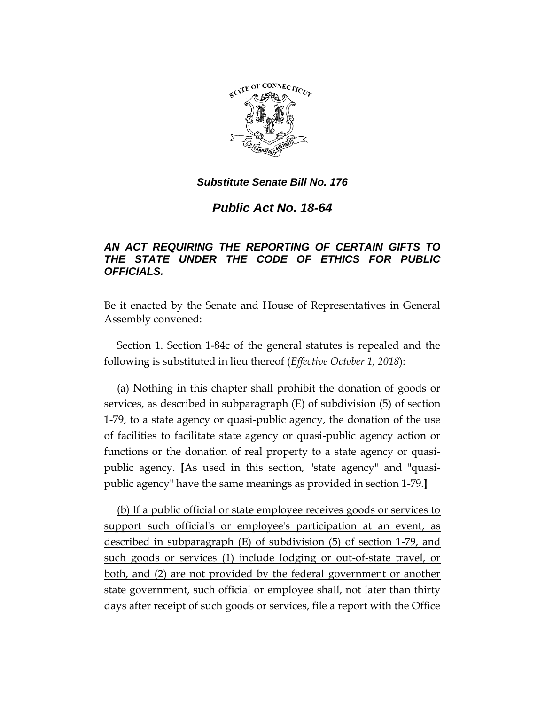

## *Substitute Senate Bill No. 176*

## *Public Act No. 18-64*

## *AN ACT REQUIRING THE REPORTING OF CERTAIN GIFTS TO THE STATE UNDER THE CODE OF ETHICS FOR PUBLIC OFFICIALS.*

Be it enacted by the Senate and House of Representatives in General Assembly convened:

Section 1. Section 1-84c of the general statutes is repealed and the following is substituted in lieu thereof (*Effective October 1, 2018*):

(a) Nothing in this chapter shall prohibit the donation of goods or services, as described in subparagraph (E) of subdivision (5) of section 1-79, to a state agency or quasi-public agency, the donation of the use of facilities to facilitate state agency or quasi-public agency action or functions or the donation of real property to a state agency or quasipublic agency. **[**As used in this section, "state agency" and "quasipublic agency" have the same meanings as provided in section 1-79.**]**

(b) If a public official or state employee receives goods or services to support such official's or employee's participation at an event, as described in subparagraph (E) of subdivision (5) of section 1-79, and such goods or services (1) include lodging or out-of-state travel, or both, and (2) are not provided by the federal government or another state government, such official or employee shall, not later than thirty days after receipt of such goods or services, file a report with the Office